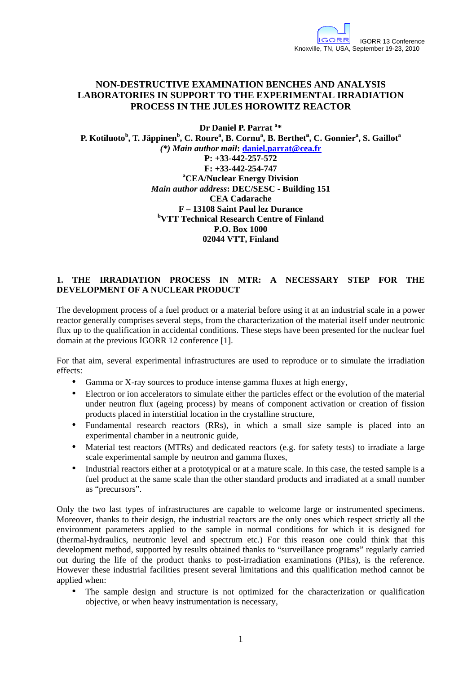# **NON-DESTRUCTIVE EXAMINATION BENCHES AND ANALYSIS LABORATORIES IN SUPPORT TO THE EXPERIMENTAL IRRADIATION PROCESS IN THE JULES HOROWITZ REACTOR**

**Dr Daniel P. Parrat <sup>a</sup> \* P. Kotiluoto<sup>b</sup> , T. Jäppinen<sup>b</sup> , C. Roure<sup>a</sup> , B. Cornu<sup>a</sup> , B. Berthet<sup>a</sup> , C. Gonnier<sup>a</sup> , S. Gaillot<sup>a</sup>** *(\*) Main author mail***: daniel.parrat@cea.fr P: +33-442-257-572 F: +33-442-254-747 <sup>a</sup>CEA/Nuclear Energy Division**  *Main author address***: DEC/SESC - Building 151 CEA Cadarache F – 13108 Saint Paul lez Durance <sup>b</sup>VTT Technical Research Centre of Finland P.O. Box 1000 02044 VTT, Finland** 

## **1. THE IRRADIATION PROCESS IN MTR: A NECESSARY STEP FOR THE DEVELOPMENT OF A NUCLEAR PRODUCT**

The development process of a fuel product or a material before using it at an industrial scale in a power reactor generally comprises several steps, from the characterization of the material itself under neutronic flux up to the qualification in accidental conditions. These steps have been presented for the nuclear fuel domain at the previous IGORR 12 conference [1].

For that aim, several experimental infrastructures are used to reproduce or to simulate the irradiation effects:

- Gamma or X-ray sources to produce intense gamma fluxes at high energy,
- Electron or ion accelerators to simulate either the particles effect or the evolution of the material under neutron flux (ageing process) by means of component activation or creation of fission products placed in interstitial location in the crystalline structure,
- Fundamental research reactors (RRs), in which a small size sample is placed into an experimental chamber in a neutronic guide,
- Material test reactors (MTRs) and dedicated reactors (e.g. for safety tests) to irradiate a large scale experimental sample by neutron and gamma fluxes,
- Industrial reactors either at a prototypical or at a mature scale. In this case, the tested sample is a fuel product at the same scale than the other standard products and irradiated at a small number as "precursors".

Only the two last types of infrastructures are capable to welcome large or instrumented specimens. Moreover, thanks to their design, the industrial reactors are the only ones which respect strictly all the environment parameters applied to the sample in normal conditions for which it is designed for (thermal-hydraulics, neutronic level and spectrum etc.) For this reason one could think that this development method, supported by results obtained thanks to "surveillance programs" regularly carried out during the life of the product thanks to post-irradiation examinations (PIEs), is the reference. However these industrial facilities present several limitations and this qualification method cannot be applied when:

• The sample design and structure is not optimized for the characterization or qualification objective, or when heavy instrumentation is necessary,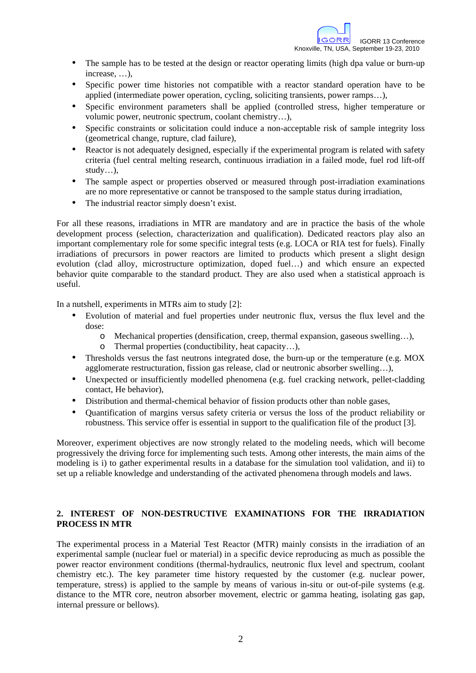- The sample has to be tested at the design or reactor operating limits (high dpa value or burn-up increase, …),
- Specific power time histories not compatible with a reactor standard operation have to be applied (intermediate power operation, cycling, soliciting transients, power ramps…),
- Specific environment parameters shall be applied (controlled stress, higher temperature or volumic power, neutronic spectrum, coolant chemistry…),
- Specific constraints or solicitation could induce a non-acceptable risk of sample integrity loss (geometrical change, rupture, clad failure),
- Reactor is not adequately designed, especially if the experimental program is related with safety criteria (fuel central melting research, continuous irradiation in a failed mode, fuel rod lift-off study…),
- The sample aspect or properties observed or measured through post-irradiation examinations are no more representative or cannot be transposed to the sample status during irradiation,
- The industrial reactor simply doesn't exist.

For all these reasons, irradiations in MTR are mandatory and are in practice the basis of the whole development process (selection, characterization and qualification). Dedicated reactors play also an important complementary role for some specific integral tests (e.g. LOCA or RIA test for fuels). Finally irradiations of precursors in power reactors are limited to products which present a slight design evolution (clad alloy, microstructure optimization, doped fuel…) and which ensure an expected behavior quite comparable to the standard product. They are also used when a statistical approach is useful.

In a nutshell, experiments in MTRs aim to study [2]:

- Evolution of material and fuel properties under neutronic flux, versus the flux level and the dose:
	- o Mechanical properties (densification, creep, thermal expansion, gaseous swelling…),
	- o Thermal properties (conductibility, heat capacity…),
- Thresholds versus the fast neutrons integrated dose, the burn-up or the temperature (e.g. MOX agglomerate restructuration, fission gas release, clad or neutronic absorber swelling…),
- Unexpected or insufficiently modelled phenomena (e.g. fuel cracking network, pellet-cladding contact, He behavior),
- Distribution and thermal-chemical behavior of fission products other than noble gases,
- Quantification of margins versus safety criteria or versus the loss of the product reliability or robustness. This service offer is essential in support to the qualification file of the product [3].

Moreover, experiment objectives are now strongly related to the modeling needs, which will become progressively the driving force for implementing such tests. Among other interests, the main aims of the modeling is i) to gather experimental results in a database for the simulation tool validation, and ii) to set up a reliable knowledge and understanding of the activated phenomena through models and laws.

## **2. INTEREST OF NON-DESTRUCTIVE EXAMINATIONS FOR THE IRRADIATION PROCESS IN MTR**

The experimental process in a Material Test Reactor (MTR) mainly consists in the irradiation of an experimental sample (nuclear fuel or material) in a specific device reproducing as much as possible the power reactor environment conditions (thermal-hydraulics, neutronic flux level and spectrum, coolant chemistry etc.). The key parameter time history requested by the customer (e.g. nuclear power, temperature, stress) is applied to the sample by means of various in-situ or out-of-pile systems (e.g. distance to the MTR core, neutron absorber movement, electric or gamma heating, isolating gas gap, internal pressure or bellows).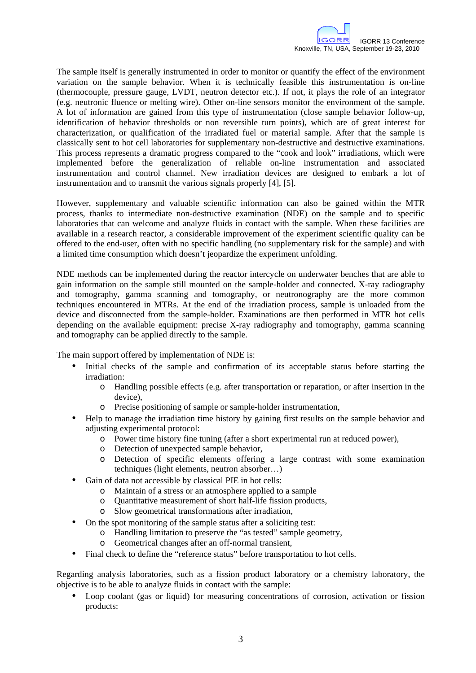The sample itself is generally instrumented in order to monitor or quantify the effect of the environment variation on the sample behavior. When it is technically feasible this instrumentation is on-line (thermocouple, pressure gauge, LVDT, neutron detector etc.). If not, it plays the role of an integrator (e.g. neutronic fluence or melting wire). Other on-line sensors monitor the environment of the sample. A lot of information are gained from this type of instrumentation (close sample behavior follow-up, identification of behavior thresholds or non reversible turn points), which are of great interest for characterization, or qualification of the irradiated fuel or material sample. After that the sample is classically sent to hot cell laboratories for supplementary non-destructive and destructive examinations. This process represents a dramatic progress compared to the "cook and look" irradiations, which were implemented before the generalization of reliable on-line instrumentation and associated instrumentation and control channel. New irradiation devices are designed to embark a lot of instrumentation and to transmit the various signals properly [4], [5].

However, supplementary and valuable scientific information can also be gained within the MTR process, thanks to intermediate non-destructive examination (NDE) on the sample and to specific laboratories that can welcome and analyze fluids in contact with the sample. When these facilities are available in a research reactor, a considerable improvement of the experiment scientific quality can be offered to the end-user, often with no specific handling (no supplementary risk for the sample) and with a limited time consumption which doesn't jeopardize the experiment unfolding.

NDE methods can be implemented during the reactor intercycle on underwater benches that are able to gain information on the sample still mounted on the sample-holder and connected. X-ray radiography and tomography, gamma scanning and tomography, or neutronography are the more common techniques encountered in MTRs. At the end of the irradiation process, sample is unloaded from the device and disconnected from the sample-holder. Examinations are then performed in MTR hot cells depending on the available equipment: precise X-ray radiography and tomography, gamma scanning and tomography can be applied directly to the sample.

The main support offered by implementation of NDE is:

- Initial checks of the sample and confirmation of its acceptable status before starting the irradiation:
	- o Handling possible effects (e.g. after transportation or reparation, or after insertion in the device),
	- o Precise positioning of sample or sample-holder instrumentation,
- Help to manage the irradiation time history by gaining first results on the sample behavior and adjusting experimental protocol:
	- o Power time history fine tuning (after a short experimental run at reduced power),
	- o Detection of unexpected sample behavior,
	- o Detection of specific elements offering a large contrast with some examination techniques (light elements, neutron absorber…)
- Gain of data not accessible by classical PIE in hot cells:
	- o Maintain of a stress or an atmosphere applied to a sample
	- o Quantitative measurement of short half-life fission products,
	- o Slow geometrical transformations after irradiation,
- On the spot monitoring of the sample status after a soliciting test:
	- o Handling limitation to preserve the "as tested" sample geometry,
	- o Geometrical changes after an off-normal transient,
- Final check to define the "reference status" before transportation to hot cells.

Regarding analysis laboratories, such as a fission product laboratory or a chemistry laboratory, the objective is to be able to analyze fluids in contact with the sample:

• Loop coolant (gas or liquid) for measuring concentrations of corrosion, activation or fission products: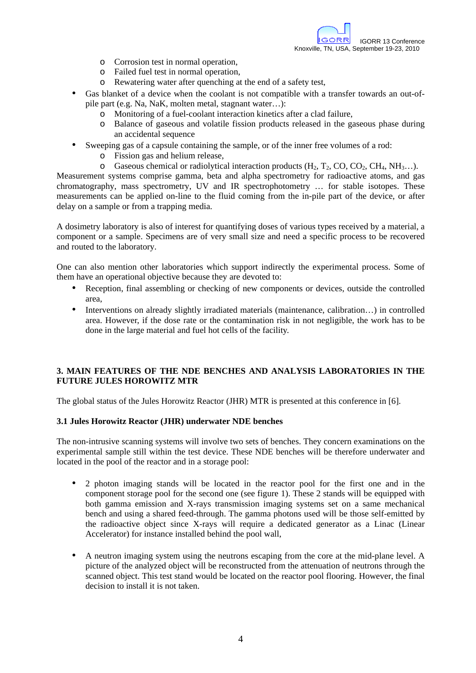- o Corrosion test in normal operation,
- o Failed fuel test in normal operation,
- o Rewatering water after quenching at the end of a safety test,
- Gas blanket of a device when the coolant is not compatible with a transfer towards an out-ofpile part (e.g. Na, NaK, molten metal, stagnant water…):
	- o Monitoring of a fuel-coolant interaction kinetics after a clad failure,
	- o Balance of gaseous and volatile fission products released in the gaseous phase during an accidental sequence
- Sweeping gas of a capsule containing the sample, or of the inner free volumes of a rod:
	- o Fission gas and helium release,
	- $\circ$  Gaseous chemical or radiolytical interaction products (H<sub>2</sub>, T<sub>2</sub>, CO, CO<sub>2</sub>, CH<sub>4</sub>, NH<sub>3</sub>...).

Measurement systems comprise gamma, beta and alpha spectrometry for radioactive atoms, and gas chromatography, mass spectrometry, UV and IR spectrophotometry … for stable isotopes. These measurements can be applied on-line to the fluid coming from the in-pile part of the device, or after delay on a sample or from a trapping media.

A dosimetry laboratory is also of interest for quantifying doses of various types received by a material, a component or a sample. Specimens are of very small size and need a specific process to be recovered and routed to the laboratory.

One can also mention other laboratories which support indirectly the experimental process. Some of them have an operational objective because they are devoted to:

- Reception, final assembling or checking of new components or devices, outside the controlled area,
- Interventions on already slightly irradiated materials (maintenance, calibration...) in controlled area. However, if the dose rate or the contamination risk in not negligible, the work has to be done in the large material and fuel hot cells of the facility.

## **3. MAIN FEATURES OF THE NDE BENCHES AND ANALYSIS LABORATORIES IN THE FUTURE JULES HOROWITZ MTR**

The global status of the Jules Horowitz Reactor (JHR) MTR is presented at this conference in [6].

### **3.1 Jules Horowitz Reactor (JHR) underwater NDE benches**

The non-intrusive scanning systems will involve two sets of benches. They concern examinations on the experimental sample still within the test device. These NDE benches will be therefore underwater and located in the pool of the reactor and in a storage pool:

- 2 photon imaging stands will be located in the reactor pool for the first one and in the component storage pool for the second one (see figure 1). These 2 stands will be equipped with both gamma emission and X-rays transmission imaging systems set on a same mechanical bench and using a shared feed-through. The gamma photons used will be those self-emitted by the radioactive object since X-rays will require a dedicated generator as a Linac (Linear Accelerator) for instance installed behind the pool wall,
- A neutron imaging system using the neutrons escaping from the core at the mid-plane level. A picture of the analyzed object will be reconstructed from the attenuation of neutrons through the scanned object. This test stand would be located on the reactor pool flooring. However, the final decision to install it is not taken.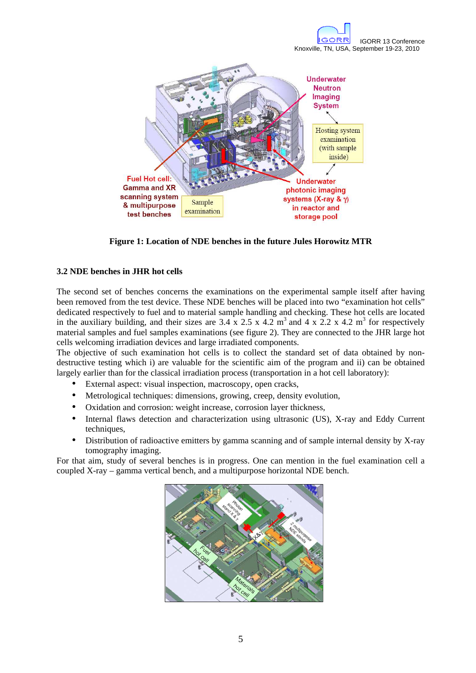

**Figure 1: Location of NDE benches in the future Jules Horowitz MTR** 

## **3.2 NDE benches in JHR hot cells**

The second set of benches concerns the examinations on the experimental sample itself after having been removed from the test device. These NDE benches will be placed into two "examination hot cells" dedicated respectively to fuel and to material sample handling and checking. These hot cells are located in the auxiliary building, and their sizes are  $3.4 \times 2.5 \times 4.2 \text{ m}^3$  and  $4 \times 2.2 \times 4.2 \text{ m}^3$  for respectively material samples and fuel samples examinations (see figure 2). They are connected to the JHR large hot cells welcoming irradiation devices and large irradiated components.

The objective of such examination hot cells is to collect the standard set of data obtained by nondestructive testing which i) are valuable for the scientific aim of the program and ii) can be obtained largely earlier than for the classical irradiation process (transportation in a hot cell laboratory):

- External aspect: visual inspection, macroscopy, open cracks,
- Metrological techniques: dimensions, growing, creep, density evolution,
- Oxidation and corrosion: weight increase, corrosion layer thickness,
- Internal flaws detection and characterization using ultrasonic (US), X-ray and Eddy Current techniques,
- Distribution of radioactive emitters by gamma scanning and of sample internal density by X-ray tomography imaging.

For that aim, study of several benches is in progress. One can mention in the fuel examination cell a coupled X-ray – gamma vertical bench, and a multipurpose horizontal NDE bench.

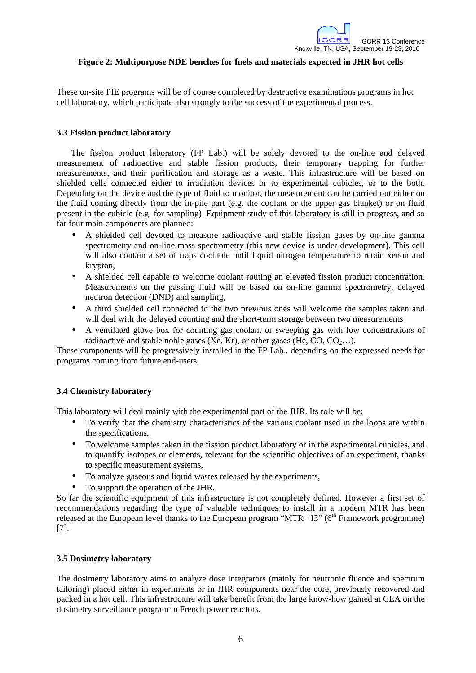

## **Figure 2: Multipurpose NDE benches for fuels and materials expected in JHR hot cells**

These on-site PIE programs will be of course completed by destructive examinations programs in hot cell laboratory, which participate also strongly to the success of the experimental process.

#### **3.3 Fission product laboratory**

The fission product laboratory (FP Lab.) will be solely devoted to the on-line and delayed measurement of radioactive and stable fission products, their temporary trapping for further measurements, and their purification and storage as a waste. This infrastructure will be based on shielded cells connected either to irradiation devices or to experimental cubicles, or to the both. Depending on the device and the type of fluid to monitor, the measurement can be carried out either on the fluid coming directly from the in-pile part (e.g. the coolant or the upper gas blanket) or on fluid present in the cubicle (e.g. for sampling). Equipment study of this laboratory is still in progress, and so far four main components are planned:

- A shielded cell devoted to measure radioactive and stable fission gases by on-line gamma spectrometry and on-line mass spectrometry (this new device is under development). This cell will also contain a set of traps coolable until liquid nitrogen temperature to retain xenon and krypton,
- A shielded cell capable to welcome coolant routing an elevated fission product concentration. Measurements on the passing fluid will be based on on-line gamma spectrometry, delayed neutron detection (DND) and sampling,
- A third shielded cell connected to the two previous ones will welcome the samples taken and will deal with the delayed counting and the short-term storage between two measurements
- A ventilated glove box for counting gas coolant or sweeping gas with low concentrations of radioactive and stable noble gases (Xe, Kr), or other gases (He, CO,  $CO_2$ ...).

These components will be progressively installed in the FP Lab., depending on the expressed needs for programs coming from future end-users.

### **3.4 Chemistry laboratory**

This laboratory will deal mainly with the experimental part of the JHR. Its role will be:

- To verify that the chemistry characteristics of the various coolant used in the loops are within the specifications,
- To welcome samples taken in the fission product laboratory or in the experimental cubicles, and to quantify isotopes or elements, relevant for the scientific objectives of an experiment, thanks to specific measurement systems,
- To analyze gaseous and liquid wastes released by the experiments,
- To support the operation of the JHR.

So far the scientific equipment of this infrastructure is not completely defined. However a first set of recommendations regarding the type of valuable techniques to install in a modern MTR has been released at the European level thanks to the European program " $MTR + I3$ " ( $6<sup>th</sup>$  Framework programme) [7].

#### **3.5 Dosimetry laboratory**

The dosimetry laboratory aims to analyze dose integrators (mainly for neutronic fluence and spectrum tailoring) placed either in experiments or in JHR components near the core, previously recovered and packed in a hot cell. This infrastructure will take benefit from the large know-how gained at CEA on the dosimetry surveillance program in French power reactors.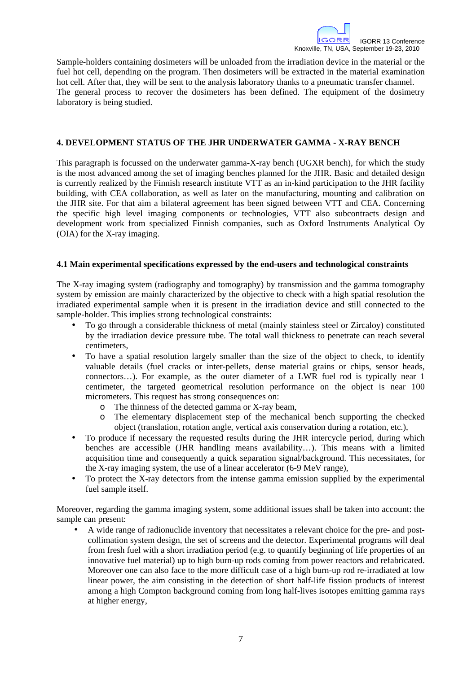Sample-holders containing dosimeters will be unloaded from the irradiation device in the material or the fuel hot cell, depending on the program. Then dosimeters will be extracted in the material examination hot cell. After that, they will be sent to the analysis laboratory thanks to a pneumatic transfer channel. The general process to recover the dosimeters has been defined. The equipment of the dosimetry laboratory is being studied.

## **4. DEVELOPMENT STATUS OF THE JHR UNDERWATER GAMMA - X-RAY BENCH**

This paragraph is focussed on the underwater gamma-X-ray bench (UGXR bench), for which the study is the most advanced among the set of imaging benches planned for the JHR. Basic and detailed design is currently realized by the Finnish research institute VTT as an in-kind participation to the JHR facility building, with CEA collaboration, as well as later on the manufacturing, mounting and calibration on the JHR site. For that aim a bilateral agreement has been signed between VTT and CEA. Concerning the specific high level imaging components or technologies, VTT also subcontracts design and development work from specialized Finnish companies, such as Oxford Instruments Analytical Oy (OIA) for the X-ray imaging.

### **4.1 Main experimental specifications expressed by the end-users and technological constraints**

The X-ray imaging system (radiography and tomography) by transmission and the gamma tomography system by emission are mainly characterized by the objective to check with a high spatial resolution the irradiated experimental sample when it is present in the irradiation device and still connected to the sample-holder. This implies strong technological constraints:

- To go through a considerable thickness of metal (mainly stainless steel or Zircaloy) constituted by the irradiation device pressure tube. The total wall thickness to penetrate can reach several centimeters,
- To have a spatial resolution largely smaller than the size of the object to check, to identify valuable details (fuel cracks or inter-pellets, dense material grains or chips, sensor heads, connectors…). For example, as the outer diameter of a LWR fuel rod is typically near 1 centimeter, the targeted geometrical resolution performance on the object is near 100 micrometers. This request has strong consequences on:
	- o The thinness of the detected gamma or X-ray beam,
	- o The elementary displacement step of the mechanical bench supporting the checked object (translation, rotation angle, vertical axis conservation during a rotation, etc.),
- To produce if necessary the requested results during the JHR intercycle period, during which benches are accessible (JHR handling means availability…). This means with a limited acquisition time and consequently a quick separation signal/background. This necessitates, for the X-ray imaging system, the use of a linear accelerator (6-9 MeV range),
- To protect the X-ray detectors from the intense gamma emission supplied by the experimental fuel sample itself.

Moreover, regarding the gamma imaging system, some additional issues shall be taken into account: the sample can present:

• A wide range of radionuclide inventory that necessitates a relevant choice for the pre- and postcollimation system design, the set of screens and the detector. Experimental programs will deal from fresh fuel with a short irradiation period (e.g. to quantify beginning of life properties of an innovative fuel material) up to high burn-up rods coming from power reactors and refabricated. Moreover one can also face to the more difficult case of a high burn-up rod re-irradiated at low linear power, the aim consisting in the detection of short half-life fission products of interest among a high Compton background coming from long half-lives isotopes emitting gamma rays at higher energy,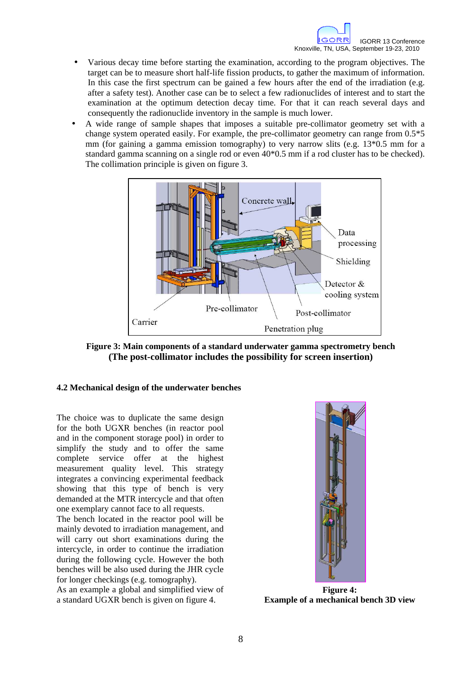- Various decay time before starting the examination, according to the program objectives. The target can be to measure short half-life fission products, to gather the maximum of information. In this case the first spectrum can be gained a few hours after the end of the irradiation (e.g. after a safety test). Another case can be to select a few radionuclides of interest and to start the examination at the optimum detection decay time. For that it can reach several days and consequently the radionuclide inventory in the sample is much lower.
- A wide range of sample shapes that imposes a suitable pre-collimator geometry set with a change system operated easily. For example, the pre-collimator geometry can range from 0.5\*5 mm (for gaining a gamma emission tomography) to very narrow slits (e.g. 13\*0.5 mm for a standard gamma scanning on a single rod or even 40\*0.5 mm if a rod cluster has to be checked). The collimation principle is given on figure 3.



**Figure 3: Main components of a standard underwater gamma spectrometry bench (The post-collimator includes the possibility for screen insertion)** 

### **4.2 Mechanical design of the underwater benches**

The choice was to duplicate the same design for the both UGXR benches (in reactor pool and in the component storage pool) in order to simplify the study and to offer the same complete service offer at the highest measurement quality level. This strategy integrates a convincing experimental feedback showing that this type of bench is very demanded at the MTR intercycle and that often one exemplary cannot face to all requests.

The bench located in the reactor pool will be mainly devoted to irradiation management, and will carry out short examinations during the intercycle, in order to continue the irradiation during the following cycle. However the both benches will be also used during the JHR cycle for longer checkings (e.g. tomography).

As an example a global and simplified view of a standard UGXR bench is given on figure 4.



**Figure 4: Example of a mechanical bench 3D view**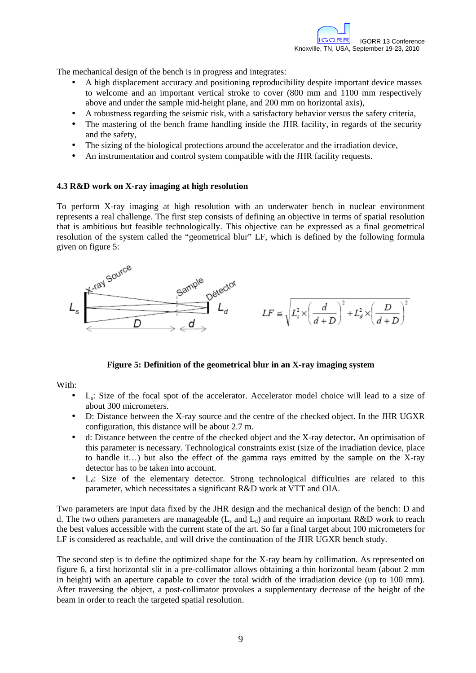The mechanical design of the bench is in progress and integrates:

- A high displacement accuracy and positioning reproducibility despite important device masses to welcome and an important vertical stroke to cover (800 mm and 1100 mm respectively above and under the sample mid-height plane, and 200 mm on horizontal axis),
- A robustness regarding the seismic risk, with a satisfactory behavior versus the safety criteria,
- The mastering of the bench frame handling inside the JHR facility, in regards of the security and the safety,
- The sizing of the biological protections around the accelerator and the irradiation device,
- An instrumentation and control system compatible with the JHR facility requests.

### **4.3 R&D work on X-ray imaging at high resolution**

To perform X-ray imaging at high resolution with an underwater bench in nuclear environment represents a real challenge. The first step consists of defining an objective in terms of spatial resolution that is ambitious but feasible technologically. This objective can be expressed as a final geometrical resolution of the system called the "geometrical blur" LF, which is defined by the following formula given on figure 5:



### **Figure 5: Definition of the geometrical blur in an X-ray imaging system**

With:

- Ls: Size of the focal spot of the accelerator. Accelerator model choice will lead to a size of about 300 micrometers.
- D: Distance between the X-ray source and the centre of the checked object. In the JHR UGXR configuration, this distance will be about 2.7 m.
- d: Distance between the centre of the checked object and the X-ray detector. An optimisation of this parameter is necessary. Technological constraints exist (size of the irradiation device, place to handle it…) but also the effect of the gamma rays emitted by the sample on the X-ray detector has to be taken into account.
- $\bullet$  L<sub>d</sub>: Size of the elementary detector. Strong technological difficulties are related to this parameter, which necessitates a significant R&D work at VTT and OIA.

Two parameters are input data fixed by the JHR design and the mechanical design of the bench: D and d. The two others parameters are manageable  $(L_s$  and  $L_d$ ) and require an important R&D work to reach the best values accessible with the current state of the art. So far a final target about 100 micrometers for LF is considered as reachable, and will drive the continuation of the JHR UGXR bench study.

The second step is to define the optimized shape for the X-ray beam by collimation. As represented on figure 6, a first horizontal slit in a pre-collimator allows obtaining a thin horizontal beam (about 2 mm in height) with an aperture capable to cover the total width of the irradiation device (up to 100 mm). After traversing the object, a post-collimator provokes a supplementary decrease of the height of the beam in order to reach the targeted spatial resolution.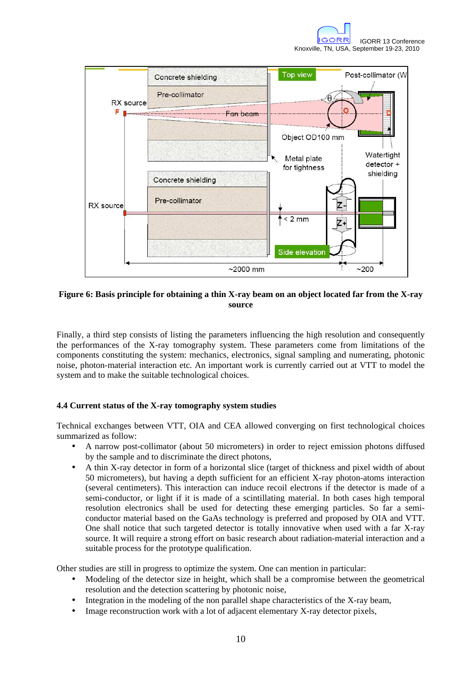

## **Figure 6: Basis principle for obtaining a thin X-ray beam on an object located far from the X-ray source**

Finally, a third step consists of listing the parameters influencing the high resolution and consequently the performances of the X-ray tomography system. These parameters come from limitations of the components constituting the system: mechanics, electronics, signal sampling and numerating, photonic noise, photon-material interaction etc. An important work is currently carried out at VTT to model the system and to make the suitable technological choices.

## **4.4 Current status of the X-ray tomography system studies**

Technical exchanges between VTT, OIA and CEA allowed converging on first technological choices summarized as follow:

- A narrow post-collimator (about 50 micrometers) in order to reject emission photons diffused by the sample and to discriminate the direct photons,
- A thin X-ray detector in form of a horizontal slice (target of thickness and pixel width of about 50 micrometers), but having a depth sufficient for an efficient X-ray photon-atoms interaction (several centimeters). This interaction can induce recoil electrons if the detector is made of a semi-conductor, or light if it is made of a scintillating material. In both cases high temporal resolution electronics shall be used for detecting these emerging particles. So far a semiconductor material based on the GaAs technology is preferred and proposed by OIA and VTT. One shall notice that such targeted detector is totally innovative when used with a far X-ray source. It will require a strong effort on basic research about radiation-material interaction and a suitable process for the prototype qualification.

Other studies are still in progress to optimize the system. One can mention in particular:

- Modeling of the detector size in height, which shall be a compromise between the geometrical resolution and the detection scattering by photonic noise,
- Integration in the modeling of the non parallel shape characteristics of the X-ray beam,
- Image reconstruction work with a lot of adjacent elementary X-ray detector pixels,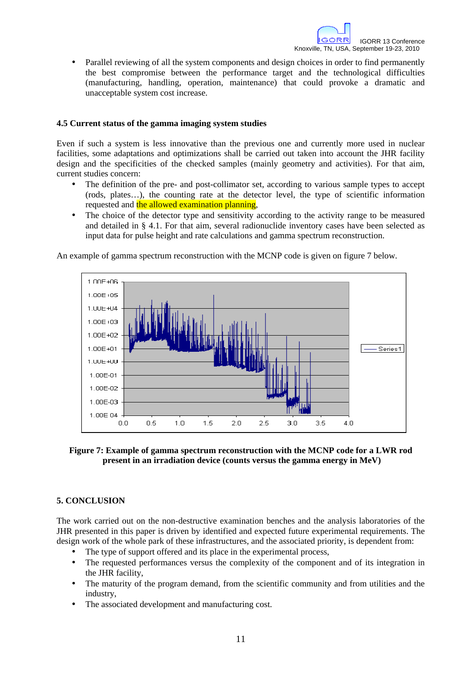• Parallel reviewing of all the system components and design choices in order to find permanently the best compromise between the performance target and the technological difficulties (manufacturing, handling, operation, maintenance) that could provoke a dramatic and unacceptable system cost increase.

## **4.5 Current status of the gamma imaging system studies**

Even if such a system is less innovative than the previous one and currently more used in nuclear facilities, some adaptations and optimizations shall be carried out taken into account the JHR facility design and the specificities of the checked samples (mainly geometry and activities). For that aim, current studies concern:

- The definition of the pre- and post-collimator set, according to various sample types to accept (rods, plates…), the counting rate at the detector level, the type of scientific information requested and the allowed examination planning,
- The choice of the detector type and sensitivity according to the activity range to be measured and detailed in § 4.1. For that aim, several radionuclide inventory cases have been selected as input data for pulse height and rate calculations and gamma spectrum reconstruction.

An example of gamma spectrum reconstruction with the MCNP code is given on figure 7 below.



## **Figure 7: Example of gamma spectrum reconstruction with the MCNP code for a LWR rod present in an irradiation device (counts versus the gamma energy in MeV)**

### **5. CONCLUSION**

The work carried out on the non-destructive examination benches and the analysis laboratories of the JHR presented in this paper is driven by identified and expected future experimental requirements. The design work of the whole park of these infrastructures, and the associated priority, is dependent from:

- The type of support offered and its place in the experimental process,
- The requested performances versus the complexity of the component and of its integration in the JHR facility,
- The maturity of the program demand, from the scientific community and from utilities and the industry,
- The associated development and manufacturing cost.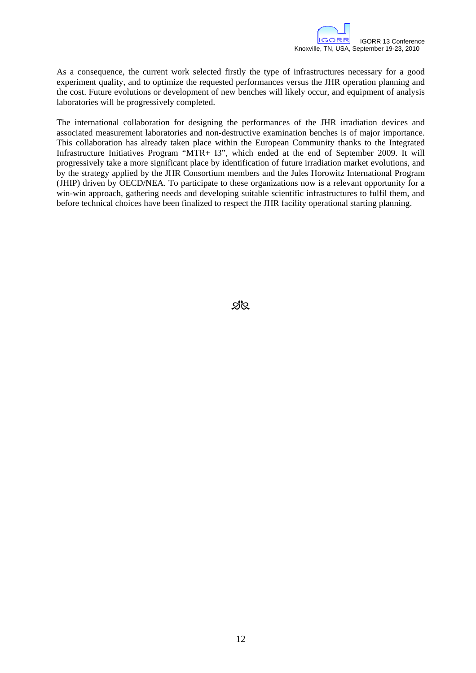As a consequence, the current work selected firstly the type of infrastructures necessary for a good experiment quality, and to optimize the requested performances versus the JHR operation planning and the cost. Future evolutions or development of new benches will likely occur, and equipment of analysis laboratories will be progressively completed.

The international collaboration for designing the performances of the JHR irradiation devices and associated measurement laboratories and non-destructive examination benches is of major importance. This collaboration has already taken place within the European Community thanks to the Integrated Infrastructure Initiatives Program "MTR+ I3", which ended at the end of September 2009. It will progressively take a more significant place by identification of future irradiation market evolutions, and by the strategy applied by the JHR Consortium members and the Jules Horowitz International Program (JHIP) driven by OECD/NEA. To participate to these organizations now is a relevant opportunity for a win-win approach, gathering needs and developing suitable scientific infrastructures to fulfil them, and before technical choices have been finalized to respect the JHR facility operational starting planning.

প্ৰপ্ৰ